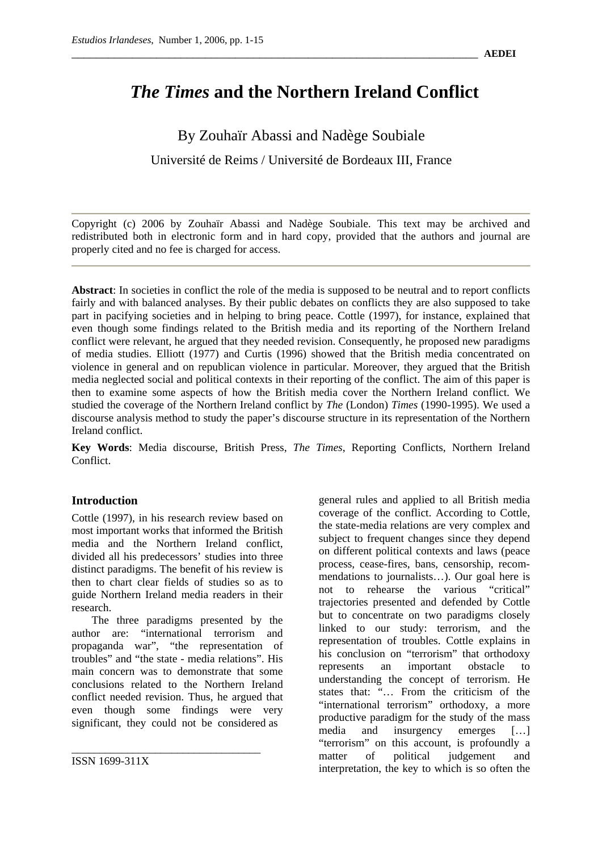# *The Times* **and the Northern Ireland Conflict**

By Zouhaïr Abassi and Nadège Soubiale Université de Reims / Université de Bordeaux III, France

Copyright (c) 2006 by Zouhaïr Abassi and Nadège Soubiale. This text may be archived and redistributed both in electronic form and in hard copy, provided that the authors and journal are properly cited and no fee is charged for access.

**Abstract**: In societies in conflict the role of the media is supposed to be neutral and to report conflicts fairly and with balanced analyses. By their public debates on conflicts they are also supposed to take part in pacifying societies and in helping to bring peace. Cottle (1997), for instance, explained that even though some findings related to the British media and its reporting of the Northern Ireland conflict were relevant, he argued that they needed revision. Consequently, he proposed new paradigms of media studies. Elliott (1977) and Curtis (1996) showed that the British media concentrated on violence in general and on republican violence in particular. Moreover, they argued that the British media neglected social and political contexts in their reporting of the conflict. The aim of this paper is then to examine some aspects of how the British media cover the Northern Ireland conflict. We studied the coverage of the Northern Ireland conflict by *The* (London) *Times* (1990-1995). We used a discourse analysis method to study the paper's discourse structure in its representation of the Northern Ireland conflict.

**Key Words**: Media discourse, British Press, *The Times*, Reporting Conflicts, Northern Ireland Conflict.

# **Introduction**

Cottle (1997), in his research review based on most important works that informed the British media and the Northern Ireland conflict, divided all his predecessors' studies into three distinct paradigms. The benefit of his review is then to chart clear fields of studies so as to guide Northern Ireland media readers in their research.

The three paradigms presented by the author are: "international terrorism and propaganda war", "the representation of troubles" and "the state - media relations". His main concern was to demonstrate that some conclusions related to the Northern Ireland conflict needed revision. Thus, he argued that even though some findings were very significant, they could not be considered as

\_\_\_\_\_\_\_\_\_\_\_\_\_\_\_\_\_\_\_\_\_\_\_\_\_\_\_\_\_\_\_\_\_\_

ISSN 1699-311X

general rules and applied to all British media coverage of the conflict. According to Cottle, the state-media relations are very complex and subject to frequent changes since they depend on different political contexts and laws (peace process, cease-fires, bans, censorship, recommendations to journalists…). Our goal here is not to rehearse the various "critical" trajectories presented and defended by Cottle but to concentrate on two paradigms closely linked to our study: terrorism, and the representation of troubles. Cottle explains in his conclusion on "terrorism" that orthodoxy represents an important obstacle to understanding the concept of terrorism. He states that: "… From the criticism of the "international terrorism" orthodoxy, a more productive paradigm for the study of the mass media and insurgency emerges […] "terrorism" on this account, is profoundly a matter of political judgement and interpretation, the key to which is so often the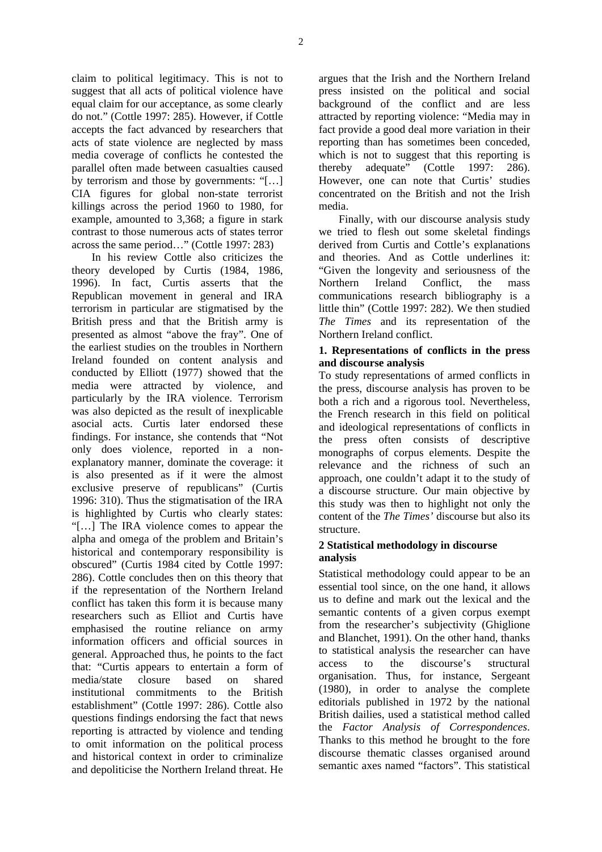claim to political legitimacy. This is not to suggest that all acts of political violence have equal claim for our acceptance, as some clearly do not." (Cottle 1997: 285). However, if Cottle accepts the fact advanced by researchers that acts of state violence are neglected by mass media coverage of conflicts he contested the parallel often made between casualties caused by terrorism and those by governments: "[…] CIA figures for global non-state terrorist killings across the period 1960 to 1980, for example, amounted to 3,368; a figure in stark contrast to those numerous acts of states terror across the same period…" (Cottle 1997: 283)

In his review Cottle also criticizes the theory developed by Curtis (1984, 1986, 1996). In fact, Curtis asserts that the Republican movement in general and IRA terrorism in particular are stigmatised by the British press and that the British army is presented as almost "above the fray". One of the earliest studies on the troubles in Northern Ireland founded on content analysis and conducted by Elliott (1977) showed that the media were attracted by violence, and particularly by the IRA violence. Terrorism was also depicted as the result of inexplicable asocial acts. Curtis later endorsed these findings. For instance, she contends that "Not only does violence, reported in a nonexplanatory manner, dominate the coverage: it is also presented as if it were the almost exclusive preserve of republicans" (Curtis 1996: 310). Thus the stigmatisation of the IRA is highlighted by Curtis who clearly states: "[…] The IRA violence comes to appear the alpha and omega of the problem and Britain's historical and contemporary responsibility is obscured" (Curtis 1984 cited by Cottle 1997: 286). Cottle concludes then on this theory that if the representation of the Northern Ireland conflict has taken this form it is because many researchers such as Elliot and Curtis have emphasised the routine reliance on army information officers and official sources in general. Approached thus, he points to the fact that: "Curtis appears to entertain a form of media/state closure based on shared institutional commitments to the British establishment" (Cottle 1997: 286). Cottle also questions findings endorsing the fact that news reporting is attracted by violence and tending to omit information on the political process and historical context in order to criminalize and depoliticise the Northern Ireland threat. He argues that the Irish and the Northern Ireland press insisted on the political and social background of the conflict and are less attracted by reporting violence: "Media may in fact provide a good deal more variation in their reporting than has sometimes been conceded, which is not to suggest that this reporting is thereby adequate" (Cottle 1997: 286). However, one can note that Curtis' studies concentrated on the British and not the Irish media.

Finally, with our discourse analysis study we tried to flesh out some skeletal findings derived from Curtis and Cottle's explanations and theories. And as Cottle underlines it: "Given the longevity and seriousness of the Northern Ireland Conflict, the mass communications research bibliography is a little thin" (Cottle 1997: 282). We then studied *The Times* and its representation of the Northern Ireland conflict.

#### **1. Representations of conflicts in the press and discourse analysis**

To study representations of armed conflicts in the press, discourse analysis has proven to be both a rich and a rigorous tool. Nevertheless, the French research in this field on political and ideological representations of conflicts in the press often consists of descriptive monographs of corpus elements. Despite the relevance and the richness of such an approach, one couldn't adapt it to the study of a discourse structure. Our main objective by this study was then to highlight not only the content of the *The Times'* discourse but also its structure.

# **2 Statistical methodology in discourse analysis**

Statistical methodology could appear to be an essential tool since, on the one hand, it allows us to define and mark out the lexical and the semantic contents of a given corpus exempt from the researcher's subjectivity (Ghiglione and Blanchet, 1991). On the other hand, thanks to statistical analysis the researcher can have access to the discourse's structural organisation. Thus, for instance, Sergeant (1980), in order to analyse the complete editorials published in 1972 by the national British dailies, used a statistical method called the *Factor Analysis of Correspondences*. Thanks to this method he brought to the fore discourse thematic classes organised around semantic axes named "factors". This statistical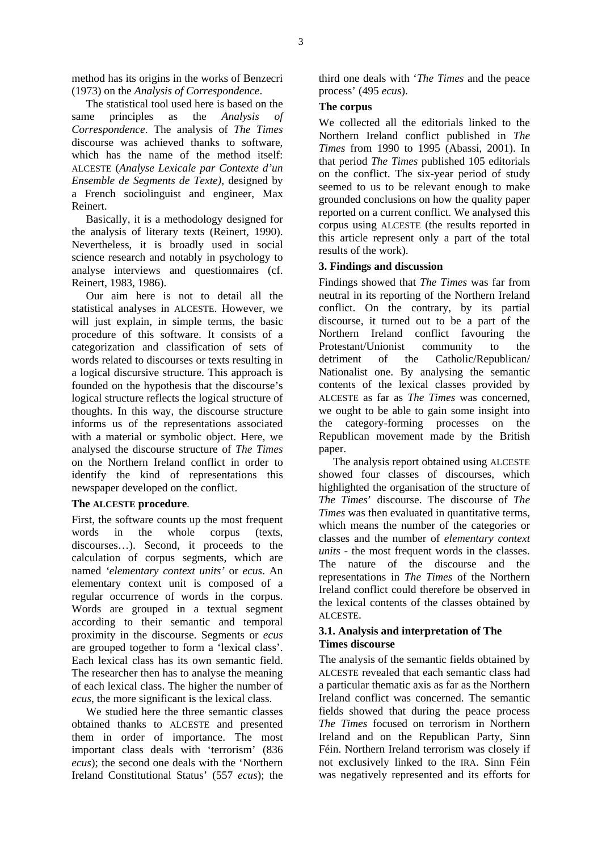method has its origins in the works of Benzecri (1973) on the *Analysis of Correspondence*.

The statistical tool used here is based on the same principles as the *Analysis of Correspondence*. The analysis of *The Times* discourse was achieved thanks to software, which has the name of the method itself: ALCESTE (*Analyse Lexicale par Contexte d'un Ensemble de Segments de Texte)*, designed by a French sociolinguist and engineer, Max Reinert.

Basically, it is a methodology designed for the analysis of literary texts (Reinert, 1990). Nevertheless, it is broadly used in social science research and notably in psychology to analyse interviews and questionnaires (cf. Reinert, 1983, 1986).

Our aim here is not to detail all the statistical analyses in ALCESTE. However, we will just explain, in simple terms, the basic procedure of this software. It consists of a categorization and classification of sets of words related to discourses or texts resulting in a logical discursive structure. This approach is founded on the hypothesis that the discourse's logical structure reflects the logical structure of thoughts. In this way, the discourse structure informs us of the representations associated with a material or symbolic object. Here, we analysed the discourse structure of *The Times* on the Northern Ireland conflict in order to identify the kind of representations this newspaper developed on the conflict.

# **The ALCESTE procedure***.*

First, the software counts up the most frequent words in the whole corpus (texts, discourses…). Second, it proceeds to the calculation of corpus segments, which are named *'elementary context units'* or *ecus*. An elementary context unit is composed of a regular occurrence of words in the corpus. Words are grouped in a textual segment according to their semantic and temporal proximity in the discourse. Segments or *ecus* are grouped together to form a 'lexical class'. Each lexical class has its own semantic field. The researcher then has to analyse the meaning of each lexical class. The higher the number of *ecus*, the more significant is the lexical class.

We studied here the three semantic classes obtained thanks to ALCESTE and presented them in order of importance. The most important class deals with 'terrorism' (836 *ecus*); the second one deals with the 'Northern Ireland Constitutional Status' (557 *ecus*); the

third one deals with '*The Times* and the peace process' (495 *ecus*).

#### **The corpus**

We collected all the editorials linked to the Northern Ireland conflict published in *The Times* from 1990 to 1995 (Abassi, 2001). In that period *The Times* published 105 editorials on the conflict. The six-year period of study seemed to us to be relevant enough to make grounded conclusions on how the quality paper reported on a current conflict. We analysed this corpus using ALCESTE (the results reported in this article represent only a part of the total results of the work).

# **3. Findings and discussion**

Findings showed that *The Times* was far from neutral in its reporting of the Northern Ireland conflict. On the contrary, by its partial discourse, it turned out to be a part of the Northern Ireland conflict favouring the Protestant/Unionist community to the detriment of the Catholic/Republican/ Nationalist one. By analysing the semantic contents of the lexical classes provided by ALCESTE as far as *The Times* was concerned, we ought to be able to gain some insight into the category-forming processes on the Republican movement made by the British paper.

The analysis report obtained using ALCESTE showed four classes of discourses, which highlighted the organisation of the structure of *The Times*' discourse. The discourse of *The Times* was then evaluated in quantitative terms, which means the number of the categories or classes and the number of *elementary context units* - the most frequent words in the classes. The nature of the discourse and the representations in *The Times* of the Northern Ireland conflict could therefore be observed in the lexical contents of the classes obtained by ALCESTE.

# **3.1. Analysis and interpretation of The Times discourse**

The analysis of the semantic fields obtained by ALCESTE revealed that each semantic class had a particular thematic axis as far as the Northern Ireland conflict was concerned. The semantic fields showed that during the peace process *The Times* focused on terrorism in Northern Ireland and on the Republican Party, Sinn Féin. Northern Ireland terrorism was closely if not exclusively linked to the IRA. Sinn Féin was negatively represented and its efforts for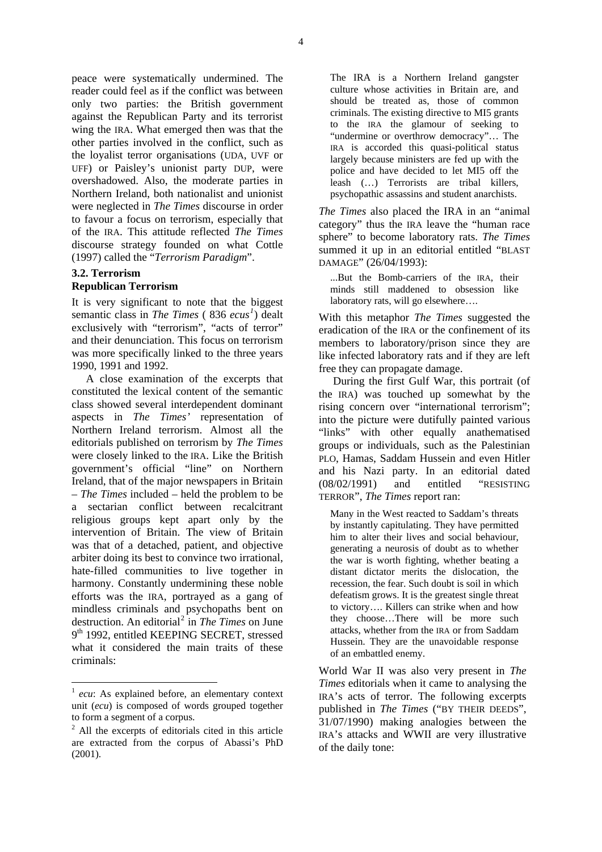peace were systematically undermined. The reader could feel as if the conflict was between only two parties: the British government against the Republican Party and its terrorist wing the IRA. What emerged then was that the other parties involved in the conflict, such as the loyalist terror organisations (UDA, UVF or UFF) or Paisley's unionist party DUP, were overshadowed. Also, the moderate parties in Northern Ireland, both nationalist and unionist were neglected in *The Times* discourse in order to favour a focus on terrorism, especially that of the IRA. This attitude reflected *The Times* discourse strategy founded on what Cottle (1997) called the "*Terrorism Paradigm*".

#### **3.2. Terrorism Republican Terrorism**

It is very significant to note that the biggest semantic class in *The Times* ( 836 *ecus [1](#page-3-0)* ) dealt exclusively with "terrorism", "acts of terror" and their denunciation. This focus on terrorism was more specifically linked to the three years 1990, 1991 and 1992.

A close examination of the excerpts that constituted the lexical content of the semantic class showed several interdependent dominant aspects in *The Times'* representation of Northern Ireland terrorism. Almost all the editorials published on terrorism by *The Times* were closely linked to the IRA. Like the British government's official "line" on Northern Ireland, that of the major newspapers in Britain – *The Times* included – held the problem to be a sectarian conflict between recalcitrant religious groups kept apart only by the intervention of Britain. The view of Britain was that of a detached, patient, and objective arbiter doing its best to convince two irrational, hate-filled communities to live together in harmony. Constantly undermining these noble efforts was the IRA, portrayed as a gang of mindless criminals and psychopaths bent on destruction. An editorial<sup>[2](#page-3-1)</sup> in *The Times* on June 9<sup>th</sup> 1992, entitled KEEPING SECRET, stressed what it considered the main traits of these criminals:

1

The IRA is a Northern Ireland gangster culture whose activities in Britain are, and should be treated as, those of common criminals. The existing directive to MI5 grants to the IRA the glamour of seeking to "undermine or overthrow democracy"… The IRA is accorded this quasi-political status largely because ministers are fed up with the police and have decided to let MI5 off the leash (…) Terrorists are tribal killers, psychopathic assassins and student anarchists.

*The Times* also placed the IRA in an "animal category" thus the IRA leave the "human race sphere" to become laboratory rats. *The Times* summed it up in an editorial entitled "BLAST DAMAGE" (26/04/1993):

...But the Bomb-carriers of the IRA, their minds still maddened to obsession like laboratory rats, will go elsewhere….

With this metaphor *The Times* suggested the eradication of the IRA or the confinement of its members to laboratory/prison since they are like infected laboratory rats and if they are left free they can propagate damage.

During the first Gulf War, this portrait (of the IRA) was touched up somewhat by the rising concern over "international terrorism"; into the picture were dutifully painted various "links" with other equally anathematised groups or individuals, such as the Palestinian PLO, Hamas, Saddam Hussein and even Hitler and his Nazi party. In an editorial dated (08/02/1991) and entitled "RESISTING TERROR", *The Times* report ran:

Many in the West reacted to Saddam's threats by instantly capitulating. They have permitted him to alter their lives and social behaviour, generating a neurosis of doubt as to whether the war is worth fighting, whether beating a distant dictator merits the dislocation, the recession, the fear. Such doubt is soil in which defeatism grows. It is the greatest single threat to victory…. Killers can strike when and how they choose…There will be more such attacks, whether from the IRA or from Saddam Hussein. They are the unavoidable response of an embattled enemy.

World War II was also very present in *The Times* editorials when it came to analysing the IRA's acts of terror. The following excerpts published in *The Times* ("BY THEIR DEEDS", 31/07/1990) making analogies between the IRA's attacks and WWII are very illustrative of the daily tone:

<span id="page-3-0"></span><sup>1</sup> *ecu*: As explained before, an elementary context unit (*ecu*) is composed of words grouped together to form a segment of a corpus.

<span id="page-3-1"></span><sup>&</sup>lt;sup>2</sup> All the excerpts of editorials cited in this article are extracted from the corpus of Abassi's PhD (2001).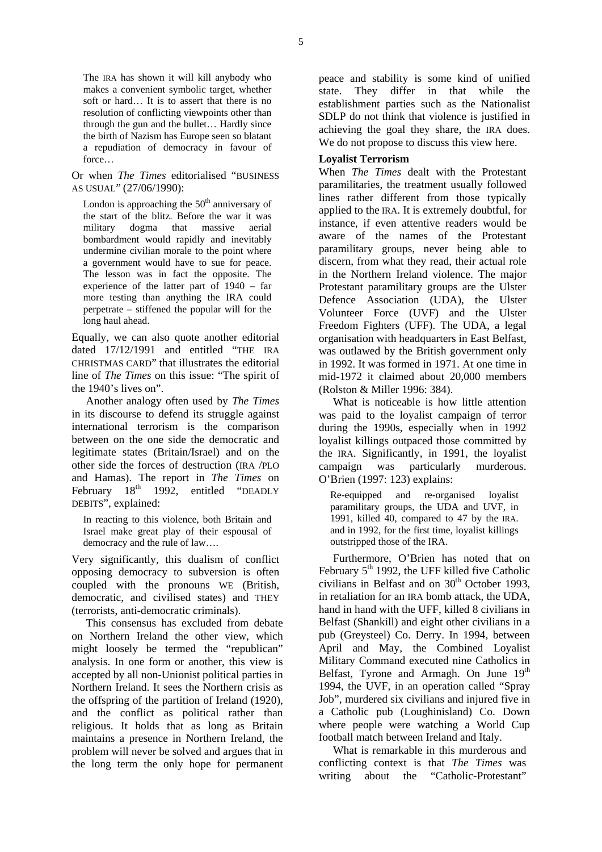The IRA has shown it will kill anybody who makes a convenient symbolic target, whether soft or hard… It is to assert that there is no resolution of conflicting viewpoints other than through the gun and the bullet… Hardly since the birth of Nazism has Europe seen so blatant a repudiation of democracy in favour of force…

Or when *The Times* editorialised "BUSINESS AS USUAL" (27/06/1990):

London is approaching the  $50<sup>th</sup>$  anniversary of the start of the blitz. Before the war it was military dogma that massive aerial bombardment would rapidly and inevitably undermine civilian morale to the point where a government would have to sue for peace. The lesson was in fact the opposite. The experience of the latter part of 1940 – far more testing than anything the IRA could perpetrate – stiffened the popular will for the long haul ahead.

Equally, we can also quote another editorial dated 17/12/1991 and entitled "THE IRA CHRISTMAS CARD" that illustrates the editorial line of *The Times* on this issue: "The spirit of the 1940's lives on".

Another analogy often used by *The Times* in its discourse to defend its struggle against international terrorism is the comparison between on the one side the democratic and legitimate states (Britain/Israel) and on the other side the forces of destruction (IRA /PLO and Hamas). The report in *The Times* on February  $18<sup>th</sup>$  1992, entitled "DEADLY DEBITS", explained:

In reacting to this violence, both Britain and Israel make great play of their espousal of democracy and the rule of law….

Very significantly, this dualism of conflict opposing democracy to subversion is often coupled with the pronouns WE (British, democratic, and civilised states) and THEY (terrorists, anti-democratic criminals).

This consensus has excluded from debate on Northern Ireland the other view, which might loosely be termed the "republican" analysis. In one form or another, this view is accepted by all non-Unionist political parties in Northern Ireland. It sees the Northern crisis as the offspring of the partition of Ireland (1920), and the conflict as political rather than religious. It holds that as long as Britain maintains a presence in Northern Ireland, the problem will never be solved and argues that in the long term the only hope for permanent peace and stability is some kind of unified state. They differ in that while the establishment parties such as the Nationalist SDLP do not think that violence is justified in achieving the goal they share, the IRA does. We do not propose to discuss this view here.

# **Loyalist Terrorism**

When *The Times* dealt with the Protestant paramilitaries, the treatment usually followed lines rather different from those typically applied to the IRA. It is extremely doubtful, for instance, if even attentive readers would be aware of the names of the Protestant paramilitary groups, never being able to discern, from what they read, their actual role in the Northern Ireland violence. The major Protestant paramilitary groups are the Ulster Defence Association (UDA), the Ulster Volunteer Force (UVF) and the Ulster Freedom Fighters (UFF). The UDA, a legal organisation with headquarters in East Belfast, was outlawed by the British government only in 1992. It was formed in 1971. At one time in mid-1972 it claimed about 20,000 members (Rolston & Miller 1996: 384).

What is noticeable is how little attention was paid to the loyalist campaign of terror during the 1990s, especially when in 1992 loyalist killings outpaced those committed by the IRA. Significantly, in 1991, the loyalist campaign was particularly murderous. O'Brien (1997: 123) explains:

Re-equipped and re-organised loyalist paramilitary groups, the UDA and UVF, in 1991, killed 40, compared to 47 by the IRA. and in 1992, for the first time, loyalist killings outstripped those of the IRA.

Furthermore, O'Brien has noted that on February  $5<sup>th</sup>$  1992, the UFF killed five Catholic civilians in Belfast and on  $30<sup>th</sup>$  October 1993, in retaliation for an IRA bomb attack, the UDA, hand in hand with the UFF, killed 8 civilians in Belfast (Shankill) and eight other civilians in a pub (Greysteel) Co. Derry. In 1994, between April and May, the Combined Loyalist Military Command executed nine Catholics in Belfast, Tyrone and Armagh. On June  $19<sup>th</sup>$ 1994, the UVF, in an operation called "Spray Job", murdered six civilians and injured five in a Catholic pub (Loughinisland) Co. Down where people were watching a World Cup football match between Ireland and Italy.

What is remarkable in this murderous and conflicting context is that *The Times* was writing about the "Catholic-Protestant"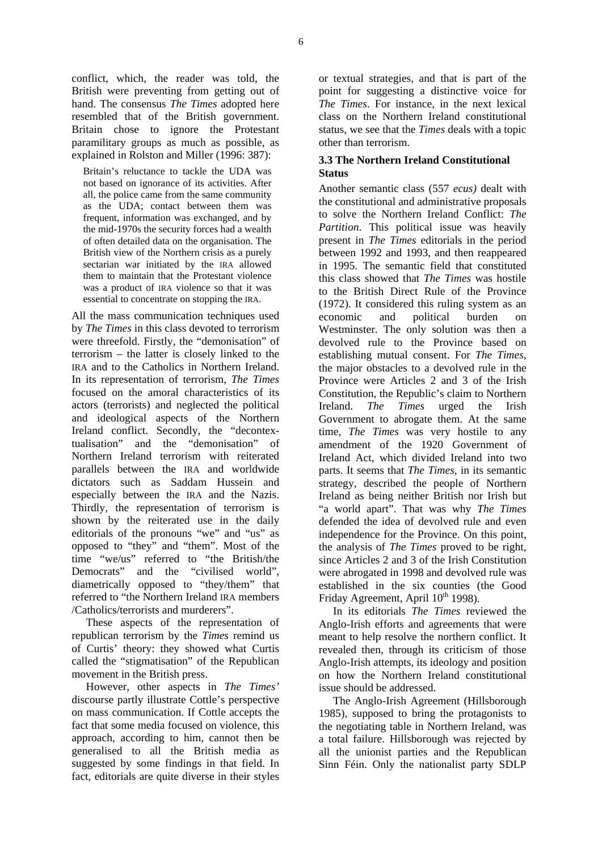conflict, which, the reader was told, the British were preventing from getting out of hand. The consensus *The Times* adopted here resembled that of the British government. Britain chose to ignore the Protestant paramilitary groups as much as possible, as explained in Rolston and Miller (1996: 387):

Britain's reluctance to tackle the UDA was not based on ignorance of its activities. After all, the police came from the same community as the UDA; contact between them was frequent, information was exchanged, and by the mid-1970s the security forces had a wealth of often detailed data on the organisation. The British view of the Northern crisis as a purely sectarian war initiated by the IRA allowed them to maintain that the Protestant violence was a product of IRA violence so that it was essential to concentrate on stopping the IRA.

All the mass communication techniques used by *The Times* in this class devoted to terrorism were threefold. Firstly, the "demonisation" of terrorism – the latter is closely linked to the IRA and to the Catholics in Northern Ireland. In its representation of terrorism, *The Times* focused on the amoral characteristics of its actors (terrorists) and neglected the political and ideological aspects of the Northern Ireland conflict. Secondly, the "decontextualisation" and the "demonisation" of Northern Ireland terrorism with reiterated parallels between the IRA and worldwide dictators such as Saddam Hussein and especially between the IRA and the Nazis. Thirdly, the representation of terrorism is shown by the reiterated use in the daily editorials of the pronouns "we" and "us" as opposed to "they" and "them". Most of the time "we/us" referred to "the British/the Democrats" and the "civilised world" diametrically opposed to "they/them" that referred to "the Northern Ireland IRA members /Catholics/terrorists and murderers".

These aspects of the representation of republican terrorism by the *Times* remind us of Curtis' theory: they showed what Curtis called the "stigmatisation" of the Republican movement in the British press.

However, other aspects in *The Times'* discourse partly illustrate Cottle's perspective on mass communication. If Cottle accepts the fact that some media focused on violence, this approach, according to him, cannot then be generalised to all the British media as suggested by some findings in that field. In fact, editorials are quite diverse in their styles or textual strategies, and that is part of the point for suggesting a distinctive voice for *The Times*. For instance, in the next lexical class on the Northern Ireland constitutional status, we see that the *Times* deals with a topic other than terrorism.

# **3.3 The Northern Ireland Constitutional Status**

Another semantic class (557 *ecus)* dealt with the constitutional and administrative proposals to solve the Northern Ireland Conflict: *The Partition*. This political issue was heavily present in *The Times* editorials in the period between 1992 and 1993, and then reappeared in 1995. The semantic field that constituted this class showed that *The Times* was hostile to the British Direct Rule of the Province (1972). It considered this ruling system as an economic and political burden on Westminster. The only solution was then a devolved rule to the Province based on establishing mutual consent. For *The Times*, the major obstacles to a devolved rule in the Province were Articles 2 and 3 of the Irish Constitution, the Republic's claim to Northern Ireland. *The Times* urged the Irish Government to abrogate them. At the same time, *The Times* was very hostile to any amendment of the 1920 Government of Ireland Act, which divided Ireland into two parts. It seems that *The Times*, in its semantic strategy, described the people of Northern Ireland as being neither British nor Irish but "a world apart". That was why *The Times* defended the idea of devolved rule and even independence for the Province. On this point, the analysis of *The Times* proved to be right, since Articles 2 and 3 of the Irish Constitution were abrogated in 1998 and devolved rule was established in the six counties (the Good Friday Agreement, April  $10^{th}$  1998).

In its editorials *The Times* reviewed the Anglo-Irish efforts and agreements that were meant to help resolve the northern conflict. It revealed then, through its criticism of those Anglo-Irish attempts, its ideology and position on how the Northern Ireland constitutional issue should be addressed.

The Anglo-Irish Agreement (Hillsborough 1985), supposed to bring the protagonists to the negotiating table in Northern Ireland, was a total failure. Hillsborough was rejected by all the unionist parties and the Republican Sinn Féin. Only the nationalist party SDLP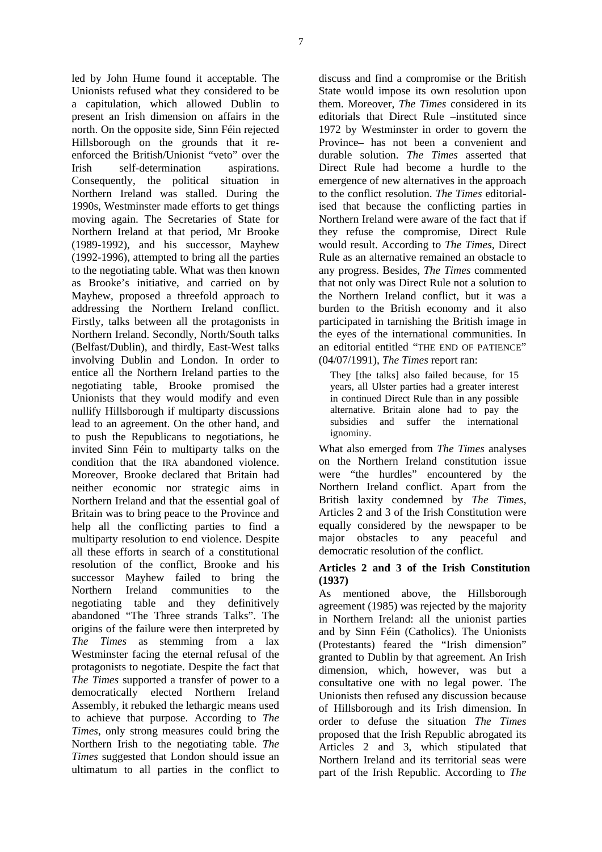led by John Hume found it acceptable. The Unionists refused what they considered to be a capitulation, which allowed Dublin to present an Irish dimension on affairs in the north. On the opposite side, Sinn Féin rejected Hillsborough on the grounds that it reenforced the British/Unionist "veto" over the Irish self-determination aspirations. Consequently, the political situation in Northern Ireland was stalled. During the 1990s, Westminster made efforts to get things moving again. The Secretaries of State for Northern Ireland at that period, Mr Brooke (1989-1992), and his successor, Mayhew (1992-1996), attempted to bring all the parties to the negotiating table. What was then known as Brooke's initiative, and carried on by Mayhew, proposed a threefold approach to addressing the Northern Ireland conflict. Firstly, talks between all the protagonists in Northern Ireland. Secondly, North/South talks (Belfast/Dublin), and thirdly, East-West talks involving Dublin and London. In order to entice all the Northern Ireland parties to the negotiating table, Brooke promised the Unionists that they would modify and even nullify Hillsborough if multiparty discussions lead to an agreement. On the other hand, and to push the Republicans to negotiations, he invited Sinn Féin to multiparty talks on the condition that the IRA abandoned violence. Moreover, Brooke declared that Britain had neither economic nor strategic aims in Northern Ireland and that the essential goal of Britain was to bring peace to the Province and help all the conflicting parties to find a multiparty resolution to end violence. Despite all these efforts in search of a constitutional resolution of the conflict, Brooke and his successor Mayhew failed to bring the Northern Ireland communities to the negotiating table and they definitively abandoned "The Three strands Talks". The origins of the failure were then interpreted by *The Times* as stemming from a lax Westminster facing the eternal refusal of the protagonists to negotiate. Despite the fact that *The Times* supported a transfer of power to a democratically elected Northern Ireland Assembly, it rebuked the lethargic means used to achieve that purpose. According to *The Times*, only strong measures could bring the Northern Irish to the negotiating table. *The Times* suggested that London should issue an ultimatum to all parties in the conflict to

discuss and find a compromise or the British State would impose its own resolution upon them. Moreover, *The Times* considered in its editorials that Direct Rule –instituted since 1972 by Westminster in order to govern the Province– has not been a convenient and durable solution. *The Times* asserted that Direct Rule had become a hurdle to the emergence of new alternatives in the approach to the conflict resolution. *The Times* editorialised that because the conflicting parties in Northern Ireland were aware of the fact that if they refuse the compromise, Direct Rule would result. According to *The Times,* Direct Rule as an alternative remained an obstacle to any progress. Besides, *The Times* commented that not only was Direct Rule not a solution to the Northern Ireland conflict, but it was a burden to the British economy and it also participated in tarnishing the British image in the eyes of the international communities. In an editorial entitled "THE END OF PATIENCE" (04/07/1991), *The Times* report ran:

They *[the talks]* also failed because, for 15 years, all Ulster parties had a greater interest in continued Direct Rule than in any possible alternative. Britain alone had to pay the subsidies and suffer the international ignominy.

What also emerged from *The Times* analyses on the Northern Ireland constitution issue were "the hurdles" encountered by the Northern Ireland conflict. Apart from the British laxity condemned by *The Times*, Articles 2 and 3 of the Irish Constitution were equally considered by the newspaper to be major obstacles to any peaceful and democratic resolution of the conflict.

#### **Articles 2 and 3 of the Irish Constitution (1937)**

As mentioned above, the Hillsborough agreement (1985) was rejected by the majority in Northern Ireland: all the unionist parties and by Sinn Féin (Catholics). The Unionists (Protestants) feared the "Irish dimension" granted to Dublin by that agreement. An Irish dimension, which, however, was but a consultative one with no legal power. The Unionists then refused any discussion because of Hillsborough and its Irish dimension. In order to defuse the situation *The Times* proposed that the Irish Republic abrogated its Articles 2 and 3, which stipulated that Northern Ireland and its territorial seas were part of the Irish Republic. According to *The*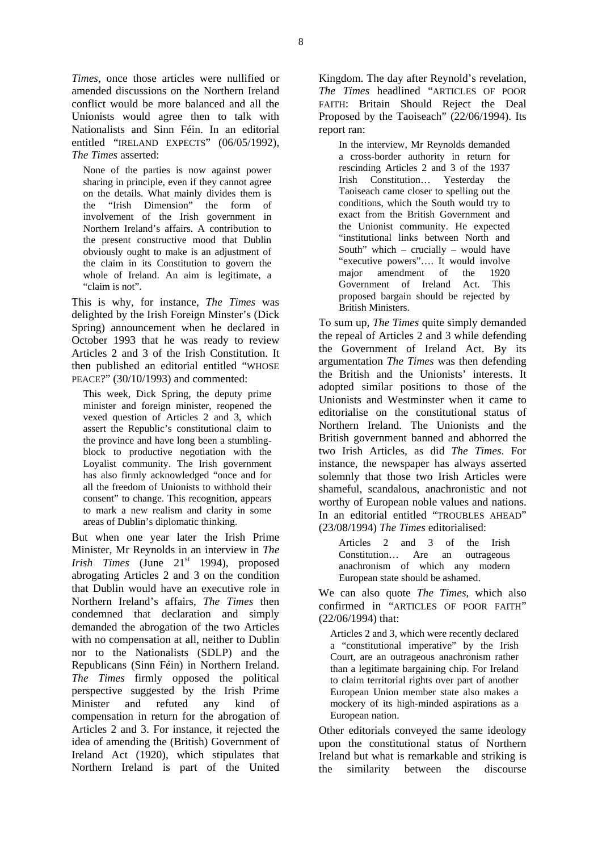*Times*, once those articles were nullified or amended discussions on the Northern Ireland conflict would be more balanced and all the Unionists would agree then to talk with Nationalists and Sinn Féin. In an editorial entitled "IRELAND EXPECTS" (06/05/1992), *The Times* asserted:

None of the parties is now against power sharing in principle, even if they cannot agree on the details. What mainly divides them is<br>the "Irish Dimension" the form of the "Irish Dimension" involvement of the Irish government in Northern Ireland's affairs. A contribution to the present constructive mood that Dublin obviously ought to make is an adjustment of the claim in its Constitution to govern the whole of Ireland. An aim is legitimate, a "claim is not".

This is why, for instance, *The Times* was delighted by the Irish Foreign Minster's (Dick Spring) announcement when he declared in October 1993 that he was ready to review Articles 2 and 3 of the Irish Constitution. It then published an editorial entitled "WHOSE PEACE?" (30/10/1993) and commented:

This week, Dick Spring, the deputy prime minister and foreign minister, reopened the vexed question of Articles 2 and 3, which assert the Republic's constitutional claim to the province and have long been a stumblingblock to productive negotiation with the Loyalist community. The Irish government has also firmly acknowledged "once and for all the freedom of Unionists to withhold their consent" to change. This recognition, appears to mark a new realism and clarity in some areas of Dublin's diplomatic thinking.

But when one year later the Irish Prime Minister, Mr Reynolds in an interview in *The Irish Times* (June 21<sup>st</sup> 1994), proposed abrogating Articles 2 and 3 on the condition that Dublin would have an executive role in Northern Ireland's affairs, *The Times* then condemned that declaration and simply demanded the abrogation of the two Articles with no compensation at all, neither to Dublin nor to the Nationalists (SDLP) and the Republicans (Sinn Féin) in Northern Ireland. *The Times* firmly opposed the political perspective suggested by the Irish Prime Minister and refuted any kind of compensation in return for the abrogation of Articles 2 and 3. For instance, it rejected the idea of amending the (British) Government of Ireland Act (1920), which stipulates that Northern Ireland is part of the United

Kingdom. The day after Reynold's revelation, *The Times* headlined "ARTICLES OF POOR FAITH: Britain Should Reject the Deal Proposed by the Taoiseach" (22/06/1994). Its report ran:

In the interview, Mr Reynolds demanded a cross-border authority in return for rescinding Articles 2 and 3 of the 1937 Irish Constitution… Yesterday the Taoiseach came closer to spelling out the conditions, which the South would try to exact from the British Government and the Unionist community. He expected "institutional links between North and South" which – crucially – would have "executive powers"…. It would involve major amendment of the 1920 Government of Ireland Act. This proposed bargain should be rejected by British Ministers.

To sum up, *The Times* quite simply demanded the repeal of Articles 2 and 3 while defending the Government of Ireland Act. By its argumentation *The Times* was then defending the British and the Unionists' interests. It adopted similar positions to those of the Unionists and Westminster when it came to editorialise on the constitutional status of Northern Ireland. The Unionists and the British government banned and abhorred the two Irish Articles, as did *The Times*. For instance, the newspaper has always asserted solemnly that those two Irish Articles were shameful, scandalous, anachronistic and not worthy of European noble values and nations. In an editorial entitled "TROUBLES AHEAD" (23/08/1994) *The Times* editorialised:

Articles 2 and 3 of the Irish Constitution… Are an outrageous anachronism of which any modern European state should be ashamed.

We can also quote *The Times*, which also confirmed in "ARTICLES OF POOR FAITH" (22/06/1994) that:

Articles 2 and 3, which were recently declared a "constitutional imperative" by the Irish Court, are an outrageous anachronism rather than a legitimate bargaining chip. For Ireland to claim territorial rights over part of another European Union member state also makes a mockery of its high-minded aspirations as a European nation.

Other editorials conveyed the same ideology upon the constitutional status of Northern Ireland but what is remarkable and striking is the similarity between the discourse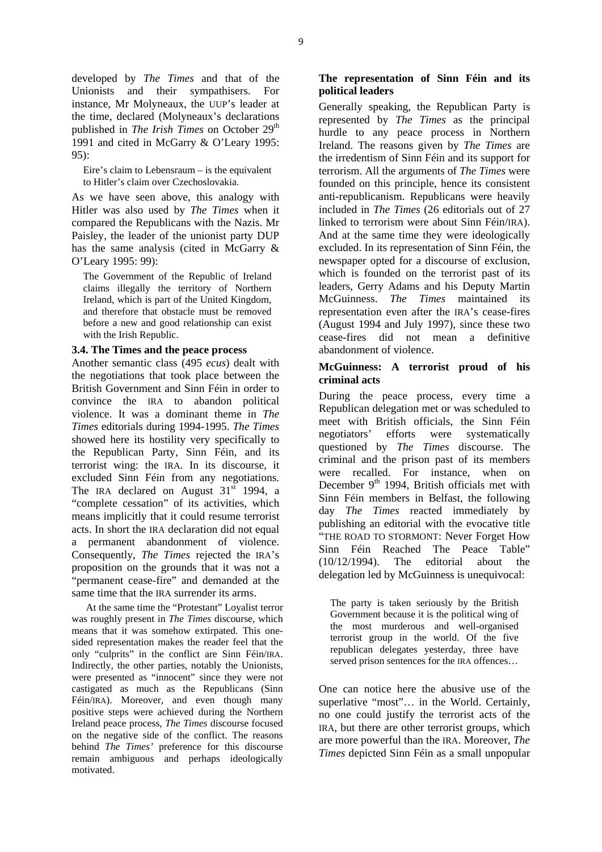developed by *The Times* and that of the Unionists and their sympathisers. For instance, Mr Molyneaux, the UUP's leader at the time, declared (Molyneaux's declarations published in *The Irish Times* on October 29<sup>th</sup> 1991 and cited in McGarry & O'Leary 1995: 95):

Eire's claim to Lebensraum – is the equivalent to Hitler's claim over Czechoslovakia.

As we have seen above, this analogy with Hitler was also used by *The Times* when it compared the Republicans with the Nazis. Mr Paisley, the leader of the unionist party DUP has the same analysis (cited in McGarry & O'Leary 1995: 99):

The Government of the Republic of Ireland claims illegally the territory of Northern Ireland, which is part of the United Kingdom, and therefore that obstacle must be removed before a new and good relationship can exist with the Irish Republic.

#### **3.4. The Times and the peace process**

Another semantic class (495 *ecus*) dealt with the negotiations that took place between the British Government and Sinn Féin in order to convince the IRA to abandon political violence. It was a dominant theme in *The Times* editorials during 1994-1995. *The Times* showed here its hostility very specifically to the Republican Party, Sinn Féin, and its terrorist wing: the IRA. In its discourse, it excluded Sinn Féin from any negotiations. The IRA declared on August  $31<sup>st</sup>$  1994, a "complete cessation" of its activities, which means implicitly that it could resume terrorist acts. In short the IRA declaration did not equal a permanent abandonment of violence. Consequently, *The Times* rejected the IRA's proposition on the grounds that it was not a "permanent cease-fire" and demanded at the same time that the IRA surrender its arms.

At the same time the "Protestant" Loyalist terror was roughly present in *The Times* discourse, which means that it was somehow extirpated. This onesided representation makes the reader feel that the only "culprits" in the conflict are Sinn Féin/IRA. Indirectly, the other parties, notably the Unionists, were presented as "innocent" since they were not castigated as much as the Republicans (Sinn Féin/IRA). Moreover, and even though many positive steps were achieved during the Northern Ireland peace process, *The Times* discourse focused on the negative side of the conflict. The reasons behind *The Times'* preference for this discourse remain ambiguous and perhaps ideologically motivated.

# **The representation of Sinn Féin and its political leaders**

Generally speaking, the Republican Party is represented by *The Times* as the principal hurdle to any peace process in Northern Ireland. The reasons given by *The Times* are the irredentism of Sinn Féin and its support for terrorism. All the arguments of *The Times* were founded on this principle, hence its consistent anti-republicanism. Republicans were heavily included in *The Times* (26 editorials out of 27 linked to terrorism were about Sinn Féin/IRA). And at the same time they were ideologically excluded. In its representation of Sinn Féin, the newspaper opted for a discourse of exclusion, which is founded on the terrorist past of its leaders, Gerry Adams and his Deputy Martin McGuinness. *The Times* maintained its representation even after the IRA's cease-fires (August 1994 and July 1997), since these two cease-fires did not mean a definitive abandonment of violence.

# **McGuinness: A terrorist proud of his criminal acts**

During the peace process, every time a Republican delegation met or was scheduled to meet with British officials, the Sinn Féin negotiators' efforts were systematically questioned by *The Times* discourse. The criminal and the prison past of its members were recalled. For instance, when on December  $9<sup>th</sup>$  1994, British officials met with Sinn Féin members in Belfast, the following day *The Times* reacted immediately by publishing an editorial with the evocative title "THE ROAD TO STORMONT: Never Forget How Sinn Féin Reached The Peace Table" (10/12/1994). The editorial about the delegation led by McGuinness is unequivocal:

The party is taken seriously by the British Government because it is the political wing of the most murderous and well-organised terrorist group in the world. Of the five republican delegates yesterday, three have served prison sentences for the IRA offences…

One can notice here the abusive use of the superlative "most"... in the World. Certainly, no one could justify the terrorist acts of the IRA, but there are other terrorist groups, which are more powerful than the IRA. Moreover, *The Times* depicted Sinn Féin as a small unpopular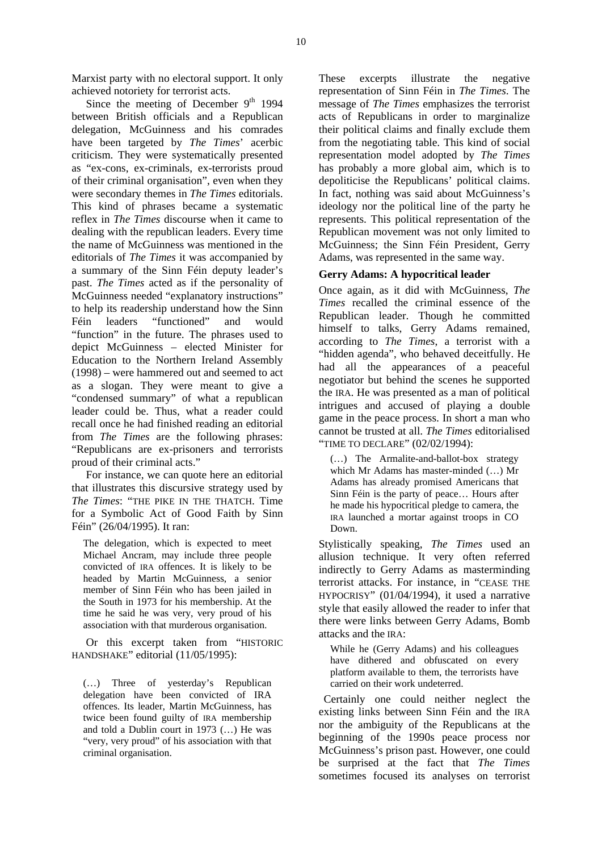Marxist party with no electoral support. It only achieved notoriety for terrorist acts.

Since the meeting of December  $9<sup>th</sup>$  1994 between British officials and a Republican delegation, McGuinness and his comrades have been targeted by *The Times*' acerbic criticism. They were systematically presented as "ex-cons, ex-criminals, ex-terrorists proud of their criminal organisation", even when they were secondary themes in *The Times* editorials. This kind of phrases became a systematic reflex in *The Times* discourse when it came to dealing with the republican leaders. Every time the name of McGuinness was mentioned in the editorials of *The Times* it was accompanied by a summary of the Sinn Féin deputy leader's past. *The Times* acted as if the personality of McGuinness needed "explanatory instructions" to help its readership understand how the Sinn Féin leaders "functioned" and would "function" in the future. The phrases used to depict McGuinness – elected Minister for Education to the Northern Ireland Assembly (1998) – were hammered out and seemed to act as a slogan. They were meant to give a "condensed summary" of what a republican leader could be. Thus, what a reader could recall once he had finished reading an editorial from *The Times* are the following phrases: "Republicans are ex-prisoners and terrorists proud of their criminal acts."

For instance, we can quote here an editorial that illustrates this discursive strategy used by *The Times*: "THE PIKE IN THE THATCH. Time for a Symbolic Act of Good Faith by Sinn Féin" (26/04/1995). It ran:

The delegation, which is expected to meet Michael Ancram, may include three people convicted of IRA offences. It is likely to be headed by Martin McGuinness, a senior member of Sinn Féin who has been jailed in the South in 1973 for his membership. At the time he said he was very, very proud of his association with that murderous organisation.

Or this excerpt taken from "HISTORIC HANDSHAKE" editorial (11/05/1995):

(…) Three of yesterday's Republican delegation have been convicted of IRA offences. Its leader, Martin McGuinness, has twice been found guilty of IRA membership and told a Dublin court in 1973 (…) He was "very, very proud" of his association with that criminal organisation.

These excerpts illustrate the negative representation of Sinn Féin in *The Times*. The message of *The Times* emphasizes the terrorist acts of Republicans in order to marginalize their political claims and finally exclude them from the negotiating table. This kind of social representation model adopted by *The Times* has probably a more global aim, which is to depoliticise the Republicans' political claims. In fact, nothing was said about McGuinness's ideology nor the political line of the party he represents. This political representation of the Republican movement was not only limited to McGuinness; the Sinn Féin President, Gerry Adams, was represented in the same way.

#### **Gerry Adams: A hypocritical leader**

Once again, as it did with McGuinness, *The Times* recalled the criminal essence of the Republican leader. Though he committed himself to talks, Gerry Adams remained, according to *The Times*, a terrorist with a "hidden agenda", who behaved deceitfully. He had all the appearances of a peaceful negotiator but behind the scenes he supported the IRA. He was presented as a man of political intrigues and accused of playing a double game in the peace process. In short a man who cannot be trusted at all. *The Times* editorialised "TIME TO DECLARE" (02/02/1994):

(…) The Armalite-and-ballot-box strategy which Mr Adams has master-minded (…) Mr Adams has already promised Americans that Sinn Féin is the party of peace… Hours after he made his hypocritical pledge to camera, the IRA launched a mortar against troops in CO Down.

Stylistically speaking, *The Times* used an allusion technique. It very often referred indirectly to Gerry Adams as masterminding terrorist attacks. For instance, in "CEASE THE HYPOCRISY" (01/04/1994), it used a narrative style that easily allowed the reader to infer that there were links between Gerry Adams, Bomb attacks and the IRA:

While he (Gerry Adams) and his colleagues have dithered and obfuscated on every platform available to them, the terrorists have carried on their work undeterred.

Certainly one could neither neglect the existing links between Sinn Féin and the IRA nor the ambiguity of the Republicans at the beginning of the 1990s peace process nor McGuinness's prison past. However, one could be surprised at the fact that *The Times* sometimes focused its analyses on terrorist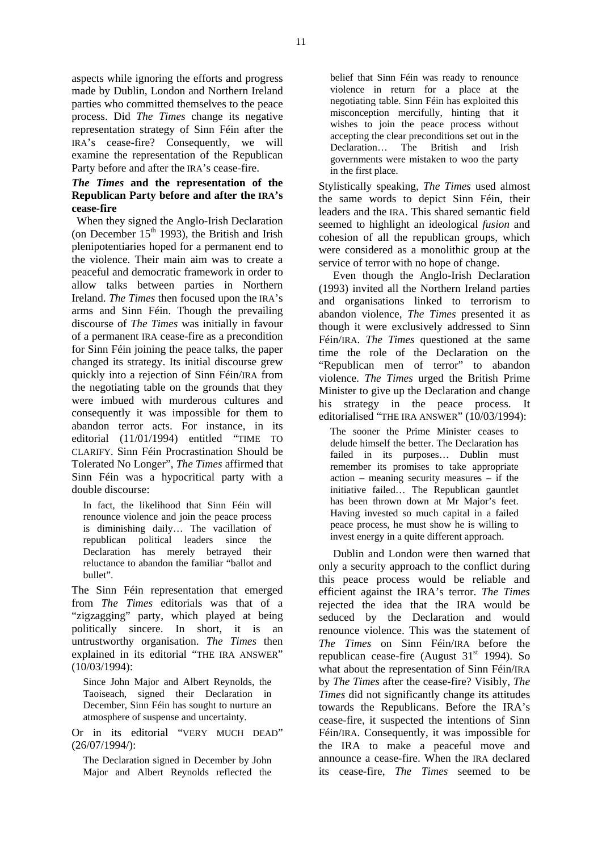aspects while ignoring the efforts and progress made by Dublin, London and Northern Ireland parties who committed themselves to the peace process. Did *The Times* change its negative representation strategy of Sinn Féin after the IRA's cease-fire? Consequently, we will examine the representation of the Republican Party before and after the IRA's cease-fire.

# *The Times* **and the representation of the Republican Party before and after the IRA's cease-fire**

When they signed the Anglo-Irish Declaration (on December  $15<sup>th</sup>$  1993), the British and Irish plenipotentiaries hoped for a permanent end to the violence. Their main aim was to create a peaceful and democratic framework in order to allow talks between parties in Northern Ireland. *The Times* then focused upon the IRA's arms and Sinn Féin. Though the prevailing discourse of *The Times* was initially in favour of a permanent IRA cease-fire as a precondition for Sinn Féin joining the peace talks, the paper changed its strategy. Its initial discourse grew quickly into a rejection of Sinn Féin/IRA from the negotiating table on the grounds that they were imbued with murderous cultures and consequently it was impossible for them to abandon terror acts. For instance, in its editorial (11/01/1994) entitled "TIME TO CLARIFY. Sinn Féin Procrastination Should be Tolerated No Longer", *The Times* affirmed that Sinn Féin was a hypocritical party with a double discourse:

In fact, the likelihood that Sinn Féin will renounce violence and join the peace process is diminishing daily… The vacillation of republican political leaders since the Declaration has merely betrayed their reluctance to abandon the familiar "ballot and bullet".

The Sinn Féin representation that emerged from *The Times* editorials was that of a "zigzagging" party, which played at being politically sincere. In short, it is an untrustworthy organisation. *The Times* then explained in its editorial "THE IRA ANSWER" (10/03/1994):

Since John Major and Albert Reynolds, the Taoiseach, signed their Declaration in December, Sinn Féin has sought to nurture an atmosphere of suspense and uncertainty.

Or in its editorial "VERY MUCH DEAD" (26/07/1994/):

The Declaration signed in December by John Major and Albert Reynolds reflected the belief that Sinn Féin was ready to renounce violence in return for a place at the negotiating table. Sinn Féin has exploited this misconception mercifully, hinting that it wishes to join the peace process without accepting the clear preconditions set out in the Declaration… The British and Irish governments were mistaken to woo the party in the first place.

Stylistically speaking, *The Times* used almost the same words to depict Sinn Féin, their leaders and the IRA. This shared semantic field seemed to highlight an ideological *fusion* and cohesion of all the republican groups, which were considered as a monolithic group at the service of terror with no hope of change.

Even though the Anglo-Irish Declaration (1993) invited all the Northern Ireland parties and organisations linked to terrorism to abandon violence, *The Times* presented it as though it were exclusively addressed to Sinn Féin/IRA. *The Times* questioned at the same time the role of the Declaration on the "Republican men of terror" to abandon violence. *The Times* urged the British Prime Minister to give up the Declaration and change his strategy in the peace process. It editorialised "THE IRA ANSWER" (10/03/1994):

The sooner the Prime Minister ceases to delude himself the better. The Declaration has failed in its purposes… Dublin must remember its promises to take appropriate action – meaning security measures – if the initiative failed… The Republican gauntlet has been thrown down at Mr Major's feet. Having invested so much capital in a failed peace process, he must show he is willing to invest energy in a quite different approach.

Dublin and London were then warned that only a security approach to the conflict during this peace process would be reliable and efficient against the IRA's terror. *The Times* rejected the idea that the IRA would be seduced by the Declaration and would renounce violence. This was the statement of *The Times* on Sinn Féin/IRA before the republican cease-fire (August  $31<sup>st</sup>$  1994). So what about the representation of Sinn Féin/IRA by *The Times* after the cease-fire? Visibly, *The Times* did not significantly change its attitudes towards the Republicans. Before the IRA's cease-fire, it suspected the intentions of Sinn Féin/IRA. Consequently, it was impossible for the IRA to make a peaceful move and announce a cease-fire. When the IRA declared its cease-fire, *The Times* seemed to be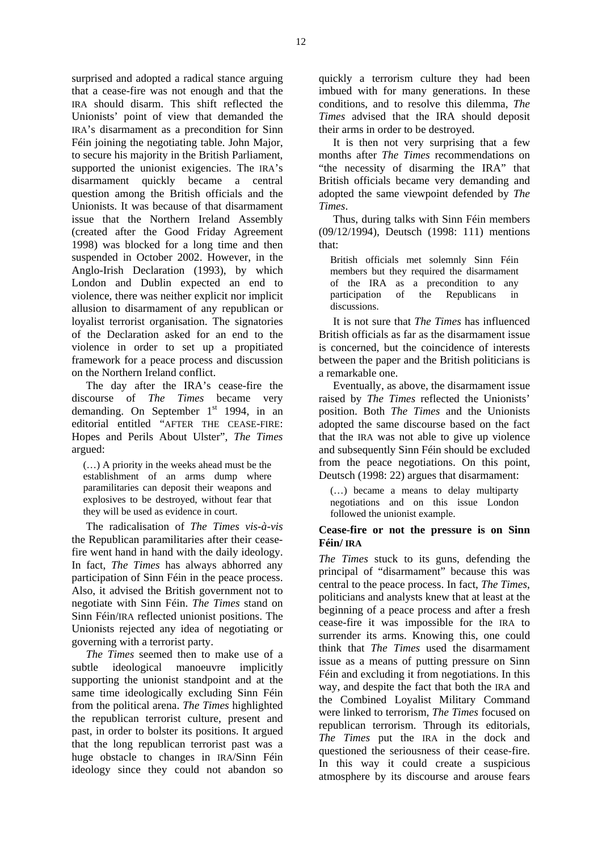surprised and adopted a radical stance arguing that a cease-fire was not enough and that the IRA should disarm. This shift reflected the Unionists' point of view that demanded the IRA's disarmament as a precondition for Sinn Féin joining the negotiating table. John Major, to secure his majority in the British Parliament, supported the unionist exigencies. The IRA's disarmament quickly became a central question among the British officials and the Unionists. It was because of that disarmament issue that the Northern Ireland Assembly (created after the Good Friday Agreement 1998) was blocked for a long time and then suspended in October 2002. However, in the Anglo-Irish Declaration (1993), by which London and Dublin expected an end to violence, there was neither explicit nor implicit allusion to disarmament of any republican or loyalist terrorist organisation. The signatories of the Declaration asked for an end to the violence in order to set up a propitiated framework for a peace process and discussion on the Northern Ireland conflict.

The day after the IRA's cease-fire the discourse of *The Times* became very demanding. On September  $1<sup>st</sup>$  1994, in an editorial entitled "AFTER THE CEASE-FIRE: Hopes and Perils About Ulster", *The Times* argued:

(…) A priority in the weeks ahead must be the establishment of an arms dump where paramilitaries can deposit their weapons and explosives to be destroyed, without fear that they will be used as evidence in court.

The radicalisation of *The Times vis-à-vis*  the Republican paramilitaries after their ceasefire went hand in hand with the daily ideology. In fact, *The Times* has always abhorred any participation of Sinn Féin in the peace process. Also, it advised the British government not to negotiate with Sinn Féin. *The Times* stand on Sinn Féin/IRA reflected unionist positions. The Unionists rejected any idea of negotiating or governing with a terrorist party.

*The Times* seemed then to make use of a subtle ideological manoeuvre implicitly supporting the unionist standpoint and at the same time ideologically excluding Sinn Féin from the political arena. *The Times* highlighted the republican terrorist culture, present and past, in order to bolster its positions. It argued that the long republican terrorist past was a huge obstacle to changes in IRA/Sinn Féin ideology since they could not abandon so quickly a terrorism culture they had been imbued with for many generations. In these conditions, and to resolve this dilemma, *The Times* advised that the IRA should deposit their arms in order to be destroyed.

It is then not very surprising that a few months after *The Times* recommendations on "the necessity of disarming the IRA" that British officials became very demanding and adopted the same viewpoint defended by *The Times*.

Thus, during talks with Sinn Féin members (09/12/1994), Deutsch (1998: 111) mentions that:

British officials met solemnly Sinn Féin members but they required the disarmament of the IRA as a precondition to any participation of the Republicans in discussions.

It is not sure that *The Times* has influenced British officials as far as the disarmament issue is concerned, but the coincidence of interests between the paper and the British politicians is a remarkable one.

Eventually, as above, the disarmament issue raised by *The Times* reflected the Unionists' position. Both *The Times* and the Unionists adopted the same discourse based on the fact that the IRA was not able to give up violence and subsequently Sinn Féin should be excluded from the peace negotiations. On this point, Deutsch (1998: 22) argues that disarmament:

(…) became a means to delay multiparty negotiations and on this issue London followed the unionist example.

#### **Cease-fire or not the pressure is on Sinn Féin/ IRA**

*The Times* stuck to its guns, defending the principal of "disarmament" because this was central to the peace process. In fact, *The Times*, politicians and analysts knew that at least at the beginning of a peace process and after a fresh cease-fire it was impossible for the IRA to surrender its arms. Knowing this, one could think that *The Times* used the disarmament issue as a means of putting pressure on Sinn Féin and excluding it from negotiations. In this way, and despite the fact that both the IRA and the Combined Loyalist Military Command were linked to terrorism, *The Times* focused on republican terrorism. Through its editorials, *The Times* put the IRA in the dock and questioned the seriousness of their cease-fire. In this way it could create a suspicious atmosphere by its discourse and arouse fears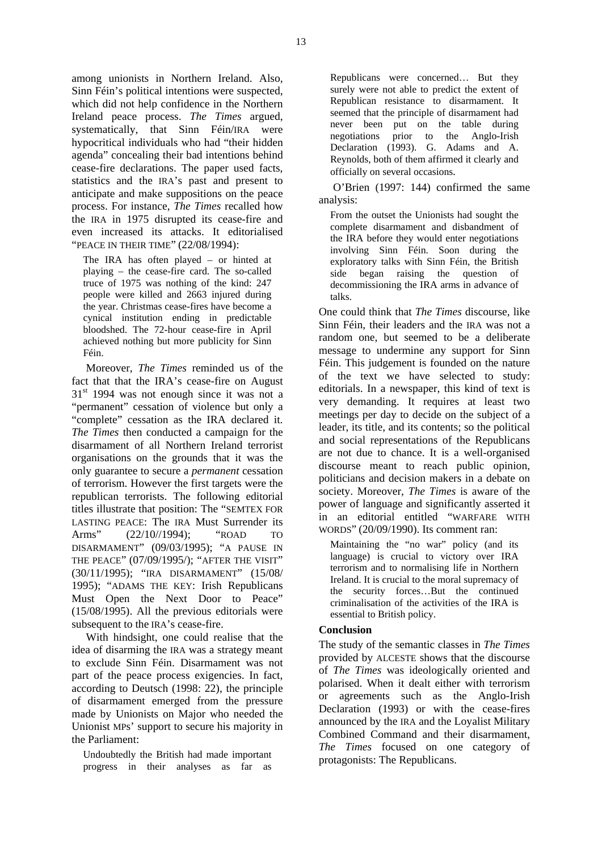among unionists in Northern Ireland. Also, Sinn Féin's political intentions were suspected, which did not help confidence in the Northern Ireland peace process. *The Times* argued, systematically, that Sinn Féin/IRA were hypocritical individuals who had "their hidden agenda" concealing their bad intentions behind cease-fire declarations. The paper used facts, statistics and the IRA's past and present to anticipate and make suppositions on the peace process. For instance, *The Times* recalled how the IRA in 1975 disrupted its cease-fire and even increased its attacks. It editorialised "PEACE IN THEIR TIME" (22/08/1994):

The IRA has often played – or hinted at playing – the cease-fire card. The so-called truce of 1975 was nothing of the kind: 247 people were killed and 2663 injured during the year. Christmas cease-fires have become a cynical institution ending in predictable bloodshed. The 72-hour cease-fire in April achieved nothing but more publicity for Sinn Féin.

Moreover, *The Times* reminded us of the fact that that the IRA's cease-fire on August  $31<sup>st</sup>$  1994 was not enough since it was not a "permanent" cessation of violence but only a "complete" cessation as the IRA declared it. *The Times* then conducted a campaign for the disarmament of all Northern Ireland terrorist organisations on the grounds that it was the only guarantee to secure a *permanent* cessation of terrorism. However the first targets were the republican terrorists. The following editorial titles illustrate that position: The "SEMTEX FOR LASTING PEACE: The IRA Must Surrender its Arms" (22/10//1994); "ROAD TO DISARMAMENT" (09/03/1995); "A PAUSE IN THE PEACE" (07/09/1995/); "AFTER THE VISIT" (30/11/1995); "IRA DISARMAMENT" (15/08/ 1995); "ADAMS THE KEY: Irish Republicans Must Open the Next Door to Peace" (15/08/1995). All the previous editorials were subsequent to the IRA's cease-fire.

With hindsight, one could realise that the idea of disarming the IRA was a strategy meant to exclude Sinn Féin. Disarmament was not part of the peace process exigencies. In fact, according to Deutsch (1998: 22), the principle of disarmament emerged from the pressure made by Unionists on Major who needed the Unionist MPs' support to secure his majority in the Parliament:

Undoubtedly the British had made important progress in their analyses as far as Republicans were concerned… But they surely were not able to predict the extent of Republican resistance to disarmament. It seemed that the principle of disarmament had never been put on the table during negotiations prior to the Anglo-Irish Declaration (1993). G. Adams and A. Reynolds, both of them affirmed it clearly and officially on several occasions.

O'Brien (1997: 144) confirmed the same analysis:

From the outset the Unionists had sought the complete disarmament and disbandment of the IRA before they would enter negotiations involving Sinn Féin. Soon during the exploratory talks with Sinn Féin, the British side began raising the question of decommissioning the IRA arms in advance of talks.

One could think that *The Times* discourse, like Sinn Féin, their leaders and the IRA was not a random one, but seemed to be a deliberate message to undermine any support for Sinn Féin. This judgement is founded on the nature of the text we have selected to study: editorials. In a newspaper, this kind of text is very demanding. It requires at least two meetings per day to decide on the subject of a leader, its title, and its contents; so the political and social representations of the Republicans are not due to chance. It is a well-organised discourse meant to reach public opinion, politicians and decision makers in a debate on society. Moreover, *The Times* is aware of the power of language and significantly asserted it in an editorial entitled "WARFARE WITH WORDS" (20/09/1990). Its comment ran:

Maintaining the "no war" policy (and its language) is crucial to victory over IRA terrorism and to normalising life in Northern Ireland. It is crucial to the moral supremacy of the security forces…But the continued criminalisation of the activities of the IRA is essential to British policy.

#### **Conclusion**

The study of the semantic classes in *The Times* provided by ALCESTE shows that the discourse of *The Times* was ideologically oriented and polarised. When it dealt either with terrorism or agreements such as the Anglo-Irish Declaration (1993) or with the cease-fires announced by the IRA and the Loyalist Military Combined Command and their disarmament, *The Times* focused on one category of protagonists: The Republicans.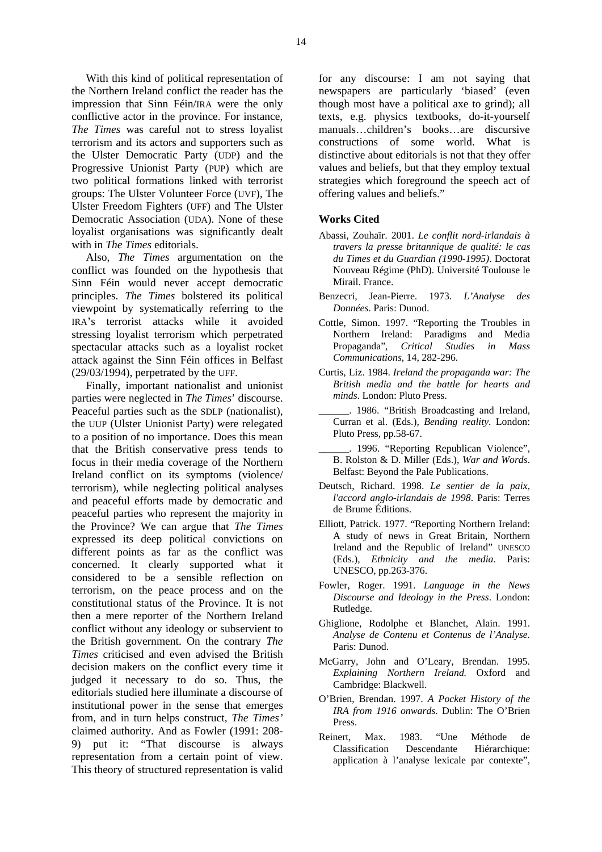With this kind of political representation of the Northern Ireland conflict the reader has the impression that Sinn Féin/IRA were the only conflictive actor in the province. For instance, *The Times* was careful not to stress loyalist terrorism and its actors and supporters such as the Ulster Democratic Party (UDP) and the Progressive Unionist Party (PUP) which are two political formations linked with terrorist groups: The Ulster Volunteer Force (UVF), The Ulster Freedom Fighters (UFF) and The Ulster Democratic Association (UDA). None of these loyalist organisations was significantly dealt with in *The Times* editorials.

Also, *The Times* argumentation on the conflict was founded on the hypothesis that Sinn Féin would never accept democratic principles. *The Times* bolstered its political viewpoint by systematically referring to the IRA's terrorist attacks while it avoided stressing loyalist terrorism which perpetrated spectacular attacks such as a loyalist rocket attack against the Sinn Féin offices in Belfast (29/03/1994), perpetrated by the UFF.

Finally, important nationalist and unionist parties were neglected in *The Times*' discourse. Peaceful parties such as the SDLP (nationalist), the UUP (Ulster Unionist Party) were relegated to a position of no importance. Does this mean that the British conservative press tends to focus in their media coverage of the Northern Ireland conflict on its symptoms (violence/ terrorism), while neglecting political analyses and peaceful efforts made by democratic and peaceful parties who represent the majority in the Province? We can argue that *The Times* expressed its deep political convictions on different points as far as the conflict was concerned. It clearly supported what it considered to be a sensible reflection on terrorism, on the peace process and on the constitutional status of the Province. It is not then a mere reporter of the Northern Ireland conflict without any ideology or subservient to the British government. On the contrary *The Times* criticised and even advised the British decision makers on the conflict every time it judged it necessary to do so. Thus, the editorials studied here illuminate a discourse of institutional power in the sense that emerges from, and in turn helps construct, *The Times'* claimed authority. And as Fowler (1991: 208- 9) put it: "That discourse is always representation from a certain point of view. This theory of structured representation is valid

for any discourse: I am not saying that newspapers are particularly 'biased' (even though most have a political axe to grind); all texts, e.g. physics textbooks, do-it-yourself manuals…children's books…are discursive constructions of some world. What is distinctive about editorials is not that they offer values and beliefs, but that they employ textual strategies which foreground the speech act of offering values and beliefs."

#### **Works Cited**

- Abassi, Zouhaïr. 2001. *Le conflit nord-irlandais à travers la presse britannique de qualité: le cas du Times et du Guardian (1990-1995)*. Doctorat Nouveau Régime (PhD). Université Toulouse le Mirail. France.
- Benzecri, Jean-Pierre. 1973. *L'Analyse des Données*. Paris: Dunod.
- Cottle, Simon. 1997. "Reporting the Troubles in Northern Ireland: Paradigms and Media Propaganda", *Critical Studies in Mass Communications*, 14, 282-296.
- Curtis, Liz. 1984. *Ireland the propaganda war: The British media and the battle for hearts and minds*. London: Pluto Press.
- \_\_\_\_\_\_. 1986. "British Broadcasting and Ireland, Curran et al. (Eds.), *Bending reality*. London: Pluto Press, pp.58-67.
- 1996. "Reporting Republican Violence", B. Rolston & D. Miller (Eds.), *War and Words*. Belfast: Beyond the Pale Publications.
- Deutsch, Richard. 1998. *Le sentier de la paix, l'accord anglo-irlandais de 1998*. Paris: Terres de Brume Éditions.
- Elliott, Patrick. 1977. "Reporting Northern Ireland: A study of news in Great Britain, Northern Ireland and the Republic of Ireland" UNESCO (Eds.), *Ethnicity and the media*. Paris: UNESCO, pp.263-376.
- Fowler, Roger. 1991. *Language in the News Discourse and Ideology in the Press*. London: Rutledge.
- Ghiglione, Rodolphe et Blanchet, Alain. 1991. *Analyse de Contenu et Contenus de l'Analyse.* Paris: Dunod.
- McGarry, John and O'Leary, Brendan. 1995. *Explaining Northern Ireland.* Oxford and Cambridge: Blackwell.
- O'Brien, Brendan. 1997. *A Pocket History of the IRA from 1916 onwards*. Dublin: The O'Brien Press.
- Reinert, Max. 1983. "Une Méthode de Classification Descendante Hiérarchique: application à l'analyse lexicale par contexte",